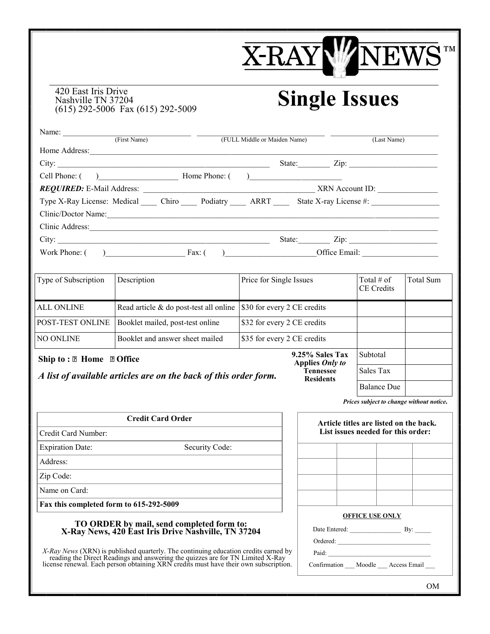# **X-RAY**  $\overline{\mathbf{M}}$  TM NEW

### 420 East Iris Drive Nashville TN 37204 (615) 292-5006 Fax (615) 292-5009

# **Single Issues**

**Tennessee Residents**

| Name:<br>(First Name)                                                  | (FULL Middle or Maiden Name) | (Last Name)               |
|------------------------------------------------------------------------|------------------------------|---------------------------|
| Home Address:                                                          |                              |                           |
|                                                                        |                              | State:<br>$\mathsf{Zip:}$ |
| Cell Phone: ( ) Home Phone: ( )                                        |                              |                           |
|                                                                        |                              | XRN Account ID:           |
| Type X-Ray License: Medical Chiro Podiatry ARRT State X-ray License #: |                              |                           |
| Clinic/Doctor Name:                                                    |                              |                           |
| Clinic Address:                                                        |                              |                           |
| City: $\qquad \qquad \qquad$                                           |                              | State:<br>Zip:            |
| Work Phone: (<br>$\overline{\phantom{a}}$ Fax: (                       |                              | Office Email:             |

| Type of Subscription                           | Description                            | Price for Single Issues            | Total $#$ of<br>CE Credits | Total Sum |
|------------------------------------------------|----------------------------------------|------------------------------------|----------------------------|-----------|
| <b>ALL ONLINE</b>                              | Read article & do post-test all online | \$30 for every 2 CE credits        |                            |           |
| POST-TEST ONLINE                               | Booklet mailed, post-test online       | \$32 for every 2 CE credits        |                            |           |
| NO ONLINE                                      | Booklet and answer sheet mailed        | \$35 for every 2 CE credits        |                            |           |
| Ship to: $\mathbb{Z}$ Home $\mathbb{Z}$ Office |                                        | 9.25% Sales Tax<br>Applies Only to | Subtotal                   |           |

## *A list of available articles are on the back of this order form.*

**Credit Card Order**

Credit Card Number:

Expiration Date: Security Code:

Address:

Zip Code:

Name on Card:

**Fax this completed form to 615-292-5009**

#### **TO ORDER by mail, send completed form to: X-Ray News, 420 East Iris Drive Nashville, TN 37204**

| X-Ray News (XRN) is published quarterly. The continuing education credits earned by  |
|--------------------------------------------------------------------------------------|
| reading the Direct Readings and answering the quizzes are for TN Limited X-Ray       |
| license renewal. Each person obtaining XRN credits must have their own subscription. |

|                                    |                        | Prices subject to change without notice. |
|------------------------------------|------------------------|------------------------------------------|
| List issues needed for this order: |                        | Article titles are listed on the back.   |
|                                    |                        |                                          |
|                                    |                        |                                          |
|                                    |                        |                                          |
|                                    |                        |                                          |
|                                    | <b>OFFICE USE ONLY</b> |                                          |
| Date Entered: By:                  |                        |                                          |
| Ordered:                           |                        |                                          |
| Paid:                              |                        |                                          |
| Confirmation Moodle Access Email   |                        |                                          |

Sales Tax

Balance Due